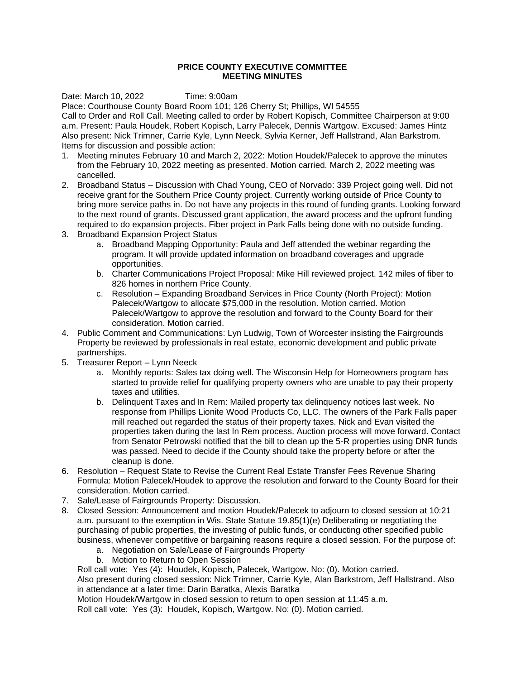## **PRICE COUNTY EXECUTIVE COMMITTEE MEETING MINUTES**

Date: March 10, 2022 Time: 9:00am

Place: Courthouse County Board Room 101; 126 Cherry St; Phillips, WI 54555 Call to Order and Roll Call. Meeting called to order by Robert Kopisch, Committee Chairperson at 9:00 a.m. Present: Paula Houdek, Robert Kopisch, Larry Palecek, Dennis Wartgow. Excused: James Hintz Also present: Nick Trimner, Carrie Kyle, Lynn Neeck, Sylvia Kerner, Jeff Hallstrand, Alan Barkstrom. Items for discussion and possible action:

- 1. Meeting minutes February 10 and March 2, 2022: Motion Houdek/Palecek to approve the minutes from the February 10, 2022 meeting as presented. Motion carried. March 2, 2022 meeting was cancelled.
- 2. Broadband Status Discussion with Chad Young, CEO of Norvado: 339 Project going well. Did not receive grant for the Southern Price County project. Currently working outside of Price County to bring more service paths in. Do not have any projects in this round of funding grants. Looking forward to the next round of grants. Discussed grant application, the award process and the upfront funding required to do expansion projects. Fiber project in Park Falls being done with no outside funding.
- 3. Broadband Expansion Project Status
	- a. Broadband Mapping Opportunity: Paula and Jeff attended the webinar regarding the program. It will provide updated information on broadband coverages and upgrade opportunities.
	- b. Charter Communications Project Proposal: Mike Hill reviewed project. 142 miles of fiber to 826 homes in northern Price County.
	- c. Resolution Expanding Broadband Services in Price County (North Project): Motion Palecek/Wartgow to allocate \$75,000 in the resolution. Motion carried. Motion Palecek/Wartgow to approve the resolution and forward to the County Board for their consideration. Motion carried.
- 4. Public Comment and Communications: Lyn Ludwig, Town of Worcester insisting the Fairgrounds Property be reviewed by professionals in real estate, economic development and public private partnerships.
- 5. Treasurer Report Lynn Neeck
	- a. Monthly reports: Sales tax doing well. The Wisconsin Help for Homeowners program has started to provide relief for qualifying property owners who are unable to pay their property taxes and utilities.
	- b. Delinquent Taxes and In Rem: Mailed property tax delinquency notices last week. No response from Phillips Lionite Wood Products Co, LLC. The owners of the Park Falls paper mill reached out regarded the status of their property taxes. Nick and Evan visited the properties taken during the last In Rem process. Auction process will move forward. Contact from Senator Petrowski notified that the bill to clean up the 5-R properties using DNR funds was passed. Need to decide if the County should take the property before or after the cleanup is done.
- 6. Resolution Request State to Revise the Current Real Estate Transfer Fees Revenue Sharing Formula: Motion Palecek/Houdek to approve the resolution and forward to the County Board for their consideration. Motion carried.
- 7. Sale/Lease of Fairgrounds Property: Discussion.
- 8. Closed Session: Announcement and motion Houdek/Palecek to adjourn to closed session at 10:21 a.m. pursuant to the exemption in Wis. State Statute 19.85(1)(e) Deliberating or negotiating the purchasing of public properties, the investing of public funds, or conducting other specified public business, whenever competitive or bargaining reasons require a closed session. For the purpose of:
	- a. Negotiation on Sale/Lease of Fairgrounds Property
	- b. Motion to Return to Open Session

Roll call vote: Yes (4): Houdek, Kopisch, Palecek, Wartgow. No: (0). Motion carried. Also present during closed session: Nick Trimner, Carrie Kyle, Alan Barkstrom, Jeff Hallstrand. Also

in attendance at a later time: Darin Baratka, Alexis Baratka

Motion Houdek/Wartgow in closed session to return to open session at 11:45 a.m. Roll call vote: Yes (3): Houdek, Kopisch, Wartgow. No: (0). Motion carried.